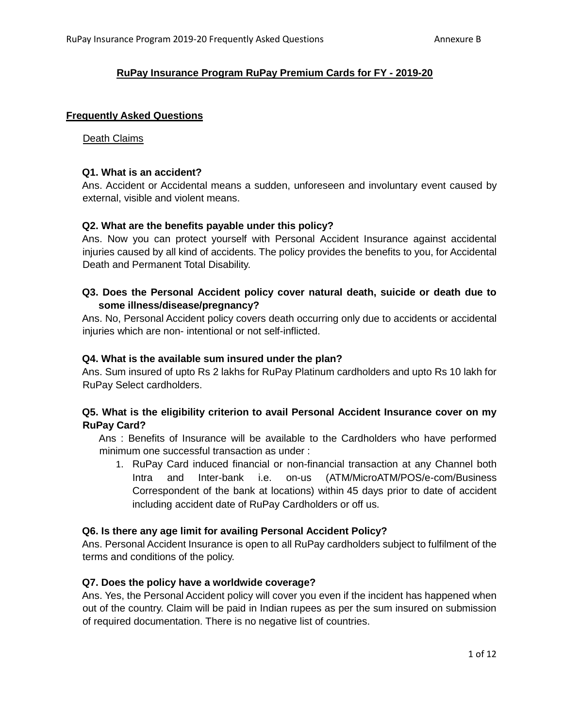## **RuPay Insurance Program RuPay Premium Cards for FY - 2019-20**

#### **Frequently Asked Questions**

#### Death Claims

#### **Q1. What is an accident?**

Ans. Accident or Accidental means a sudden, unforeseen and involuntary event caused by external, visible and violent means.

#### **Q2. What are the benefits payable under this policy?**

Ans. Now you can protect yourself with Personal Accident Insurance against accidental injuries caused by all kind of accidents. The policy provides the benefits to you, for Accidental Death and Permanent Total Disability.

## **Q3. Does the Personal Accident policy cover natural death, suicide or death due to some illness/disease/pregnancy?**

Ans. No, Personal Accident policy covers death occurring only due to accidents or accidental injuries which are non- intentional or not self-inflicted.

#### **Q4. What is the available sum insured under the plan?**

Ans. Sum insured of upto Rs 2 lakhs for RuPay Platinum cardholders and upto Rs 10 lakh for RuPay Select cardholders.

## **Q5. What is the eligibility criterion to avail Personal Accident Insurance cover on my RuPay Card?**

Ans : Benefits of Insurance will be available to the Cardholders who have performed minimum one successful transaction as under :

1. RuPay Card induced financial or non-financial transaction at any Channel both Intra and Inter-bank i.e. on-us (ATM/MicroATM/POS/e-com/Business Correspondent of the bank at locations) within 45 days prior to date of accident including accident date of RuPay Cardholders or off us.

#### **Q6. Is there any age limit for availing Personal Accident Policy?**

Ans. Personal Accident Insurance is open to all RuPay cardholders subject to fulfilment of the terms and conditions of the policy.

#### **Q7. Does the policy have a worldwide coverage?**

Ans. Yes, the Personal Accident policy will cover you even if the incident has happened when out of the country. Claim will be paid in Indian rupees as per the sum insured on submission of required documentation. There is no negative list of countries.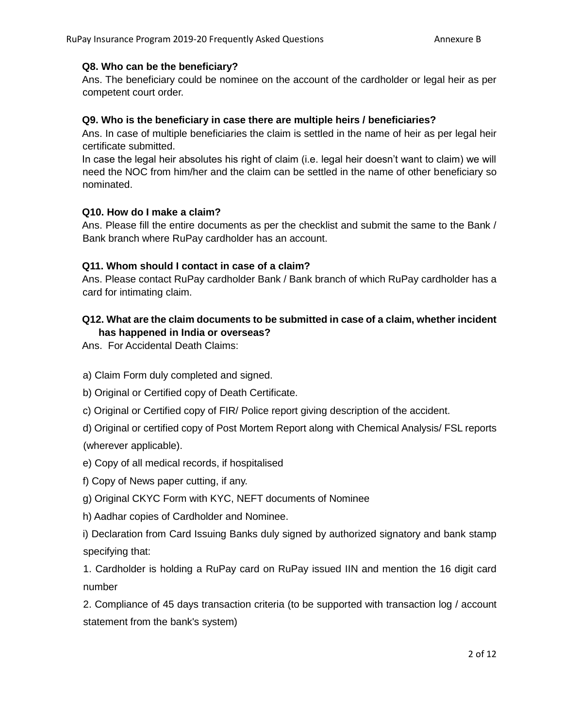## **Q8. Who can be the beneficiary?**

Ans. The beneficiary could be nominee on the account of the cardholder or legal heir as per competent court order.

## **Q9. Who is the beneficiary in case there are multiple heirs / beneficiaries?**

Ans. In case of multiple beneficiaries the claim is settled in the name of heir as per legal heir certificate submitted.

In case the legal heir absolutes his right of claim (i.e. legal heir doesn't want to claim) we will need the NOC from him/her and the claim can be settled in the name of other beneficiary so nominated.

## **Q10. How do I make a claim?**

Ans. Please fill the entire documents as per the checklist and submit the same to the Bank / Bank branch where RuPay cardholder has an account.

## **Q11. Whom should I contact in case of a claim?**

Ans. Please contact RuPay cardholder Bank / Bank branch of which RuPay cardholder has a card for intimating claim.

## **Q12. What are the claim documents to be submitted in case of a claim, whether incident has happened in India or overseas?**

Ans. For Accidental Death Claims:

- a) Claim Form duly completed and signed.
- b) Original or Certified copy of Death Certificate.
- c) Original or Certified copy of FIR/ Police report giving description of the accident.
- d) Original or certified copy of Post Mortem Report along with Chemical Analysis/ FSL reports

(wherever applicable).

- e) Copy of all medical records, if hospitalised
- f) Copy of News paper cutting, if any.
- g) Original CKYC Form with KYC, NEFT documents of Nominee
- h) Aadhar copies of Cardholder and Nominee.

i) Declaration from Card Issuing Banks duly signed by authorized signatory and bank stamp specifying that:

1. Cardholder is holding a RuPay card on RuPay issued IIN and mention the 16 digit card number

2. Compliance of 45 days transaction criteria (to be supported with transaction log / account statement from the bank's system)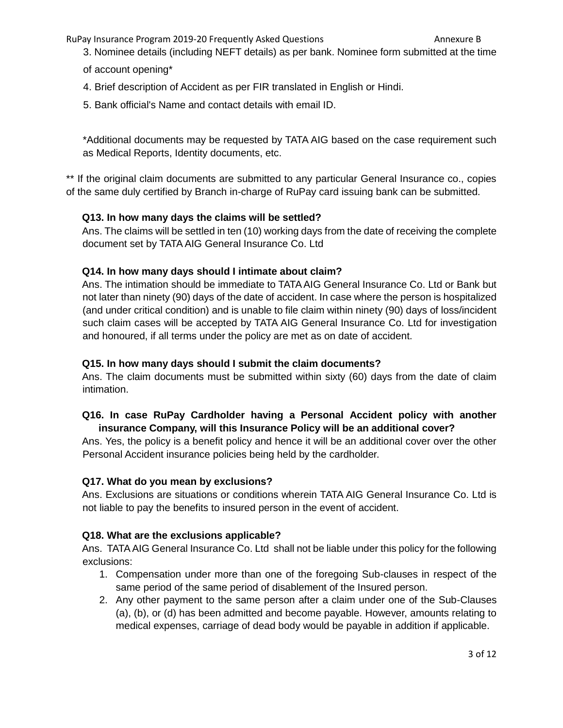- 3. Nominee details (including NEFT details) as per bank. Nominee form submitted at the time
- of account opening\*
- 4. Brief description of Accident as per FIR translated in English or Hindi.
- 5. Bank official's Name and contact details with email ID.

\*Additional documents may be requested by TATA AIG based on the case requirement such as Medical Reports, Identity documents, etc.

\*\* If the original claim documents are submitted to any particular General Insurance co., copies of the same duly certified by Branch in-charge of RuPay card issuing bank can be submitted.

# **Q13. In how many days the claims will be settled?**

Ans. The claims will be settled in ten (10) working days from the date of receiving the complete document set by TATA AIG General Insurance Co. Ltd

## **Q14. In how many days should I intimate about claim?**

Ans. The intimation should be immediate to TATA AIG General Insurance Co. Ltd or Bank but not later than ninety (90) days of the date of accident. In case where the person is hospitalized (and under critical condition) and is unable to file claim within ninety (90) days of loss/incident such claim cases will be accepted by TATA AIG General Insurance Co. Ltd for investigation and honoured, if all terms under the policy are met as on date of accident.

## **Q15. In how many days should I submit the claim documents?**

Ans. The claim documents must be submitted within sixty (60) days from the date of claim intimation.

# **Q16. In case RuPay Cardholder having a Personal Accident policy with another insurance Company, will this Insurance Policy will be an additional cover?**

Ans. Yes, the policy is a benefit policy and hence it will be an additional cover over the other Personal Accident insurance policies being held by the cardholder.

## **Q17. What do you mean by exclusions?**

Ans. Exclusions are situations or conditions wherein TATA AIG General Insurance Co. Ltd is not liable to pay the benefits to insured person in the event of accident.

## **Q18. What are the exclusions applicable?**

Ans. TATA AIG General Insurance Co. Ltd shall not be liable under this policy for the following exclusions:

- 1. Compensation under more than one of the foregoing Sub-clauses in respect of the same period of the same period of disablement of the Insured person.
- 2. Any other payment to the same person after a claim under one of the Sub-Clauses (a), (b), or (d) has been admitted and become payable. However, amounts relating to medical expenses, carriage of dead body would be payable in addition if applicable.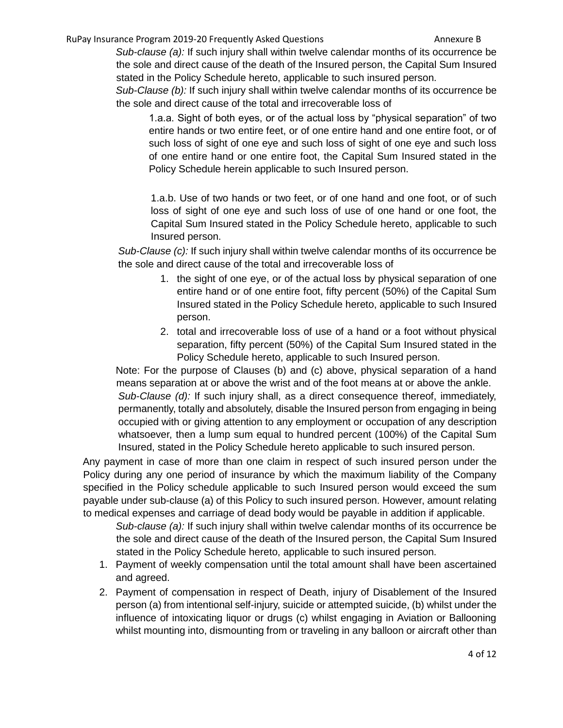*Sub-clause (a):* If such injury shall within twelve calendar months of its occurrence be the sole and direct cause of the death of the Insured person, the Capital Sum Insured stated in the Policy Schedule hereto, applicable to such insured person.

*Sub-Clause (b):* If such injury shall within twelve calendar months of its occurrence be the sole and direct cause of the total and irrecoverable loss of

1.a.a. Sight of both eyes, or of the actual loss by "physical separation" of two entire hands or two entire feet, or of one entire hand and one entire foot, or of such loss of sight of one eye and such loss of sight of one eye and such loss of one entire hand or one entire foot, the Capital Sum Insured stated in the Policy Schedule herein applicable to such Insured person.

1.a.b. Use of two hands or two feet, or of one hand and one foot, or of such loss of sight of one eye and such loss of use of one hand or one foot, the Capital Sum Insured stated in the Policy Schedule hereto, applicable to such Insured person.

*Sub-Clause (c):* If such injury shall within twelve calendar months of its occurrence be the sole and direct cause of the total and irrecoverable loss of

- 1. the sight of one eye, or of the actual loss by physical separation of one entire hand or of one entire foot, fifty percent (50%) of the Capital Sum Insured stated in the Policy Schedule hereto, applicable to such Insured person.
- 2. total and irrecoverable loss of use of a hand or a foot without physical separation, fifty percent (50%) of the Capital Sum Insured stated in the Policy Schedule hereto, applicable to such Insured person.

Note: For the purpose of Clauses (b) and (c) above, physical separation of a hand means separation at or above the wrist and of the foot means at or above the ankle. *Sub-Clause (d):* If such injury shall, as a direct consequence thereof, immediately, permanently, totally and absolutely, disable the Insured person from engaging in being occupied with or giving attention to any employment or occupation of any description whatsoever, then a lump sum equal to hundred percent (100%) of the Capital Sum Insured, stated in the Policy Schedule hereto applicable to such insured person.

Any payment in case of more than one claim in respect of such insured person under the Policy during any one period of insurance by which the maximum liability of the Company specified in the Policy schedule applicable to such Insured person would exceed the sum payable under sub-clause (a) of this Policy to such insured person. However, amount relating to medical expenses and carriage of dead body would be payable in addition if applicable.

*Sub-clause (a):* If such injury shall within twelve calendar months of its occurrence be the sole and direct cause of the death of the Insured person, the Capital Sum Insured stated in the Policy Schedule hereto, applicable to such insured person.

- 1. Payment of weekly compensation until the total amount shall have been ascertained and agreed.
- 2. Payment of compensation in respect of Death, injury of Disablement of the Insured person (a) from intentional self-injury, suicide or attempted suicide, (b) whilst under the influence of intoxicating liquor or drugs (c) whilst engaging in Aviation or Ballooning whilst mounting into, dismounting from or traveling in any balloon or aircraft other than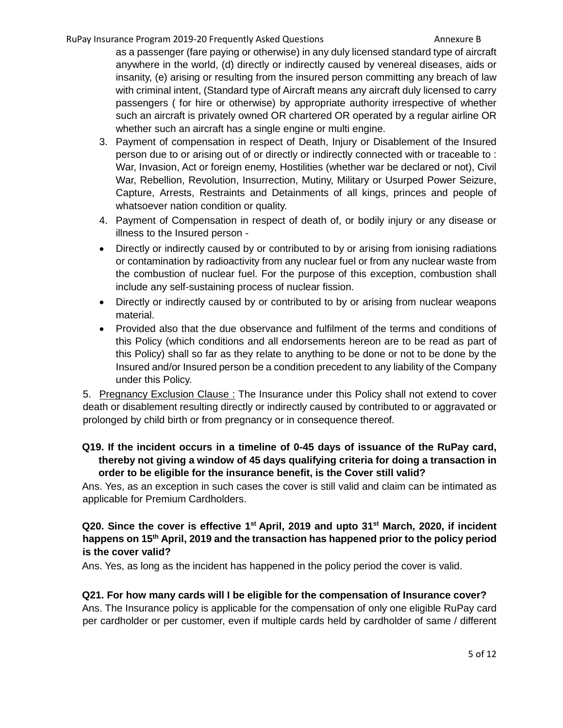as a passenger (fare paying or otherwise) in any duly licensed standard type of aircraft anywhere in the world, (d) directly or indirectly caused by venereal diseases, aids or insanity, (e) arising or resulting from the insured person committing any breach of law with criminal intent, (Standard type of Aircraft means any aircraft duly licensed to carry passengers ( for hire or otherwise) by appropriate authority irrespective of whether such an aircraft is privately owned OR chartered OR operated by a regular airline OR whether such an aircraft has a single engine or multi engine.

- 3. Payment of compensation in respect of Death, Injury or Disablement of the Insured person due to or arising out of or directly or indirectly connected with or traceable to : War, Invasion, Act or foreign enemy, Hostilities (whether war be declared or not), Civil War, Rebellion, Revolution, Insurrection, Mutiny, Military or Usurped Power Seizure, Capture, Arrests, Restraints and Detainments of all kings, princes and people of whatsoever nation condition or quality.
- 4. Payment of Compensation in respect of death of, or bodily injury or any disease or illness to the Insured person -
- Directly or indirectly caused by or contributed to by or arising from ionising radiations or contamination by radioactivity from any nuclear fuel or from any nuclear waste from the combustion of nuclear fuel. For the purpose of this exception, combustion shall include any self-sustaining process of nuclear fission.
- Directly or indirectly caused by or contributed to by or arising from nuclear weapons material.
- Provided also that the due observance and fulfilment of the terms and conditions of this Policy (which conditions and all endorsements hereon are to be read as part of this Policy) shall so far as they relate to anything to be done or not to be done by the Insured and/or Insured person be a condition precedent to any liability of the Company under this Policy.

5. Pregnancy Exclusion Clause: The Insurance under this Policy shall not extend to cover death or disablement resulting directly or indirectly caused by contributed to or aggravated or prolonged by child birth or from pregnancy or in consequence thereof.

## **Q19. If the incident occurs in a timeline of 0-45 days of issuance of the RuPay card, thereby not giving a window of 45 days qualifying criteria for doing a transaction in order to be eligible for the insurance benefit, is the Cover still valid?**

Ans. Yes, as an exception in such cases the cover is still valid and claim can be intimated as applicable for Premium Cardholders.

## **Q20. Since the cover is effective 1st April, 2019 and upto 31st March, 2020, if incident happens on 15th April, 2019 and the transaction has happened prior to the policy period is the cover valid?**

Ans. Yes, as long as the incident has happened in the policy period the cover is valid.

## **Q21. For how many cards will I be eligible for the compensation of Insurance cover?**

Ans. The Insurance policy is applicable for the compensation of only one eligible RuPay card per cardholder or per customer, even if multiple cards held by cardholder of same / different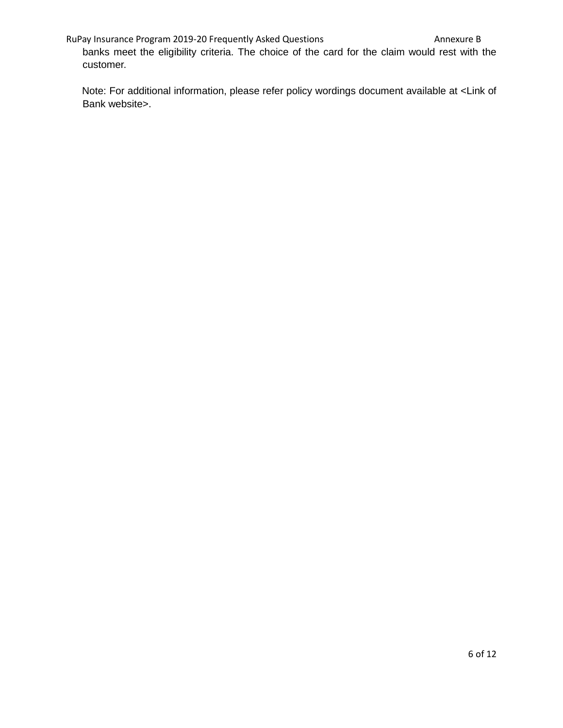banks meet the eligibility criteria. The choice of the card for the claim would rest with the customer.

Note: For additional information, please refer policy wordings document available at <Link of Bank website>.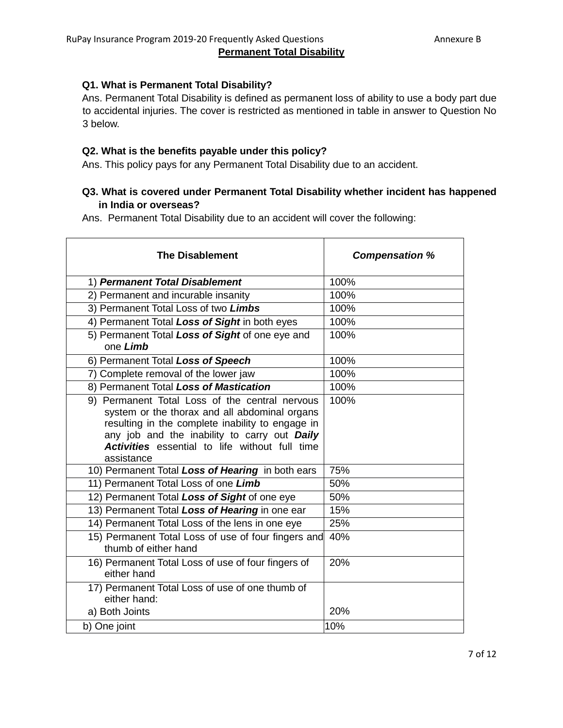### **Q1. What is Permanent Total Disability?**

Ans. Permanent Total Disability is defined as permanent loss of ability to use a body part due to accidental injuries. The cover is restricted as mentioned in table in answer to Question No 3 below.

#### **Q2. What is the benefits payable under this policy?**

Ans. This policy pays for any Permanent Total Disability due to an accident.

### **Q3. What is covered under Permanent Total Disability whether incident has happened in India or overseas?**

Ans. Permanent Total Disability due to an accident will cover the following:

| <b>The Disablement</b>                                                                                                                                                                                                                                                     | <b>Compensation %</b> |
|----------------------------------------------------------------------------------------------------------------------------------------------------------------------------------------------------------------------------------------------------------------------------|-----------------------|
| 1) Permanent Total Disablement                                                                                                                                                                                                                                             | 100%                  |
| 2) Permanent and incurable insanity                                                                                                                                                                                                                                        | 100%                  |
| 3) Permanent Total Loss of two Limbs                                                                                                                                                                                                                                       | 100%                  |
| 4) Permanent Total Loss of Sight in both eyes                                                                                                                                                                                                                              | 100%                  |
| 5) Permanent Total Loss of Sight of one eye and<br>one Limb                                                                                                                                                                                                                | 100%                  |
| 6) Permanent Total Loss of Speech                                                                                                                                                                                                                                          | 100%                  |
| 7) Complete removal of the lower jaw                                                                                                                                                                                                                                       | 100%                  |
| 8) Permanent Total Loss of Mastication                                                                                                                                                                                                                                     | 100%                  |
| 9) Permanent Total Loss of the central nervous<br>system or the thorax and all abdominal organs<br>resulting in the complete inability to engage in<br>any job and the inability to carry out Daily<br><b>Activities</b> essential to life without full time<br>assistance | 100%                  |
| 10) Permanent Total Loss of Hearing in both ears                                                                                                                                                                                                                           | 75%                   |
| 11) Permanent Total Loss of one Limb                                                                                                                                                                                                                                       | 50%                   |
| 12) Permanent Total Loss of Sight of one eye                                                                                                                                                                                                                               | 50%                   |
| 13) Permanent Total Loss of Hearing in one ear                                                                                                                                                                                                                             | 15%                   |
| 14) Permanent Total Loss of the lens in one eye                                                                                                                                                                                                                            | 25%                   |
| 15) Permanent Total Loss of use of four fingers and<br>thumb of either hand                                                                                                                                                                                                | 40%                   |
| 16) Permanent Total Loss of use of four fingers of<br>either hand                                                                                                                                                                                                          | 20%                   |
| 17) Permanent Total Loss of use of one thumb of<br>either hand:                                                                                                                                                                                                            |                       |
| a) Both Joints                                                                                                                                                                                                                                                             | 20%                   |
| b) One joint                                                                                                                                                                                                                                                               | 10%                   |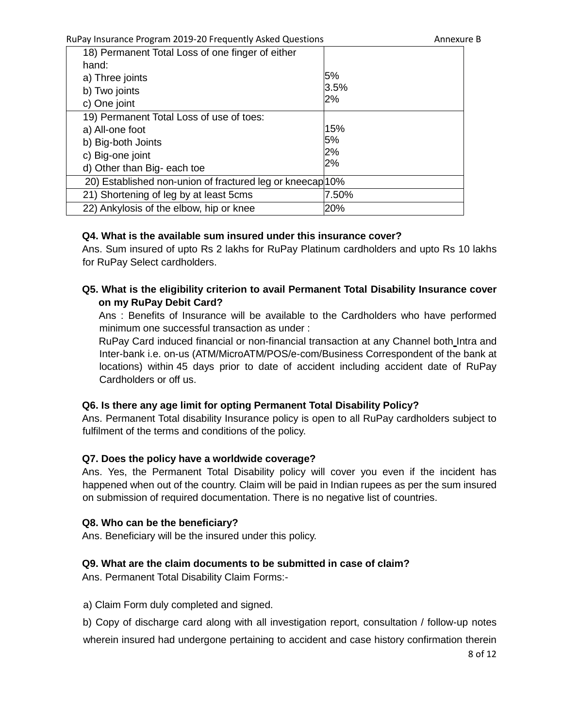| 18) Permanent Total Loss of one finger of either          |       |
|-----------------------------------------------------------|-------|
| hand:                                                     |       |
| a) Three joints                                           | 5%    |
| b) Two joints                                             | 3.5%  |
| c) One joint                                              | 2%    |
| 19) Permanent Total Loss of use of toes:                  |       |
| a) All-one foot                                           | 15%   |
| b) Big-both Joints                                        | 5%    |
| c) Big-one joint                                          | 2%    |
| d) Other than Big- each toe                               | 2%    |
| 20) Established non-union of fractured leg or kneecap 10% |       |
| 21) Shortening of leg by at least 5cms                    | 7.50% |
| 22) Ankylosis of the elbow, hip or knee                   | 20%   |

#### **Q4. What is the available sum insured under this insurance cover?**

Ans. Sum insured of upto Rs 2 lakhs for RuPay Platinum cardholders and upto Rs 10 lakhs for RuPay Select cardholders.

## **Q5. What is the eligibility criterion to avail Permanent Total Disability Insurance cover on my RuPay Debit Card?**

Ans : Benefits of Insurance will be available to the Cardholders who have performed minimum one successful transaction as under :

RuPay Card induced financial or non-financial transaction at any Channel both Intra and Inter-bank i.e. on-us (ATM/MicroATM/POS/e-com/Business Correspondent of the bank at locations) within 45 days prior to date of accident including accident date of RuPay Cardholders or off us.

#### **Q6. Is there any age limit for opting Permanent Total Disability Policy?**

Ans. Permanent Total disability Insurance policy is open to all RuPay cardholders subject to fulfilment of the terms and conditions of the policy.

#### **Q7. Does the policy have a worldwide coverage?**

Ans. Yes, the Permanent Total Disability policy will cover you even if the incident has happened when out of the country. Claim will be paid in Indian rupees as per the sum insured on submission of required documentation. There is no negative list of countries.

#### **Q8. Who can be the beneficiary?**

Ans. Beneficiary will be the insured under this policy.

## **Q9. What are the claim documents to be submitted in case of claim?**

Ans. Permanent Total Disability Claim Forms:-

a) Claim Form duly completed and signed.

b) Copy of discharge card along with all investigation report, consultation / follow-up notes wherein insured had undergone pertaining to accident and case history confirmation therein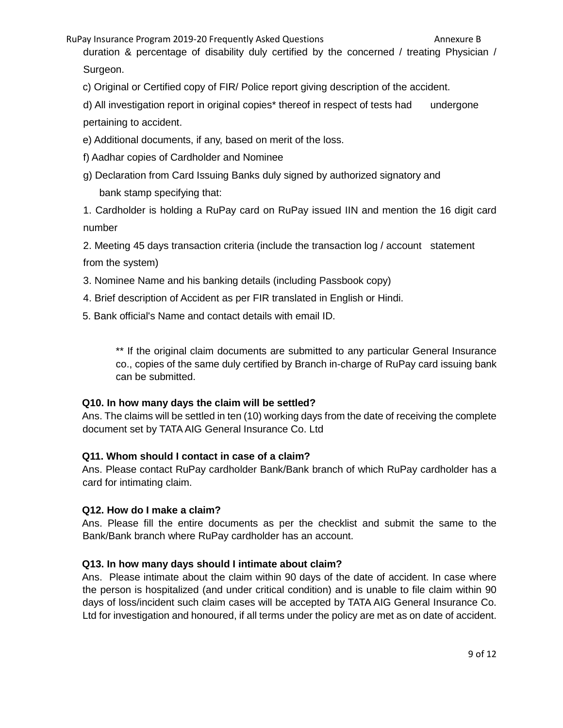duration & percentage of disability duly certified by the concerned / treating Physician / Surgeon.

c) Original or Certified copy of FIR/ Police report giving description of the accident.

d) All investigation report in original copies\* thereof in respect of tests had undergone pertaining to accident.

e) Additional documents, if any, based on merit of the loss.

f) Aadhar copies of Cardholder and Nominee

g) Declaration from Card Issuing Banks duly signed by authorized signatory and bank stamp specifying that:

1. Cardholder is holding a RuPay card on RuPay issued IIN and mention the 16 digit card number

2. Meeting 45 days transaction criteria (include the transaction log / account statement from the system)

- 3. Nominee Name and his banking details (including Passbook copy)
- 4. Brief description of Accident as per FIR translated in English or Hindi.
- 5. Bank official's Name and contact details with email ID.

\*\* If the original claim documents are submitted to any particular General Insurance co., copies of the same duly certified by Branch in-charge of RuPay card issuing bank can be submitted.

# **Q10. In how many days the claim will be settled?**

Ans. The claims will be settled in ten (10) working days from the date of receiving the complete document set by TATA AIG General Insurance Co. Ltd

# **Q11. Whom should I contact in case of a claim?**

Ans. Please contact RuPay cardholder Bank/Bank branch of which RuPay cardholder has a card for intimating claim.

# **Q12. How do I make a claim?**

Ans. Please fill the entire documents as per the checklist and submit the same to the Bank/Bank branch where RuPay cardholder has an account.

# **Q13. In how many days should I intimate about claim?**

Ans. Please intimate about the claim within 90 days of the date of accident. In case where the person is hospitalized (and under critical condition) and is unable to file claim within 90 days of loss/incident such claim cases will be accepted by TATA AIG General Insurance Co. Ltd for investigation and honoured, if all terms under the policy are met as on date of accident.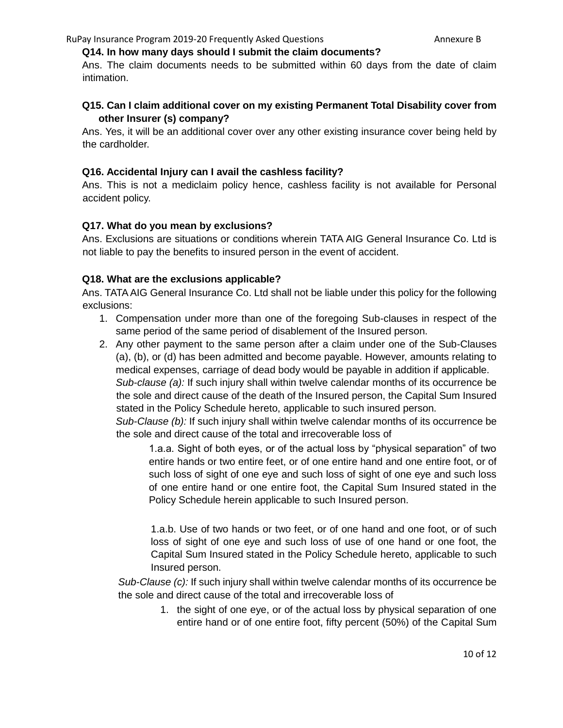#### **Q14. In how many days should I submit the claim documents?**

Ans. The claim documents needs to be submitted within 60 days from the date of claim intimation.

## **Q15. Can I claim additional cover on my existing Permanent Total Disability cover from other Insurer (s) company?**

Ans. Yes, it will be an additional cover over any other existing insurance cover being held by the cardholder.

#### **Q16. Accidental Injury can I avail the cashless facility?**

Ans. This is not a mediclaim policy hence, cashless facility is not available for Personal accident policy.

#### **Q17. What do you mean by exclusions?**

Ans. Exclusions are situations or conditions wherein TATA AIG General Insurance Co. Ltd is not liable to pay the benefits to insured person in the event of accident.

#### **Q18. What are the exclusions applicable?**

Ans. TATA AIG General Insurance Co. Ltd shall not be liable under this policy for the following exclusions:

- 1. Compensation under more than one of the foregoing Sub-clauses in respect of the same period of the same period of disablement of the Insured person.
- 2. Any other payment to the same person after a claim under one of the Sub-Clauses (a), (b), or (d) has been admitted and become payable. However, amounts relating to medical expenses, carriage of dead body would be payable in addition if applicable.

*Sub-clause (a):* If such injury shall within twelve calendar months of its occurrence be the sole and direct cause of the death of the Insured person, the Capital Sum Insured stated in the Policy Schedule hereto, applicable to such insured person.

*Sub-Clause (b):* If such injury shall within twelve calendar months of its occurrence be the sole and direct cause of the total and irrecoverable loss of

1.a.a. Sight of both eyes, or of the actual loss by "physical separation" of two entire hands or two entire feet, or of one entire hand and one entire foot, or of such loss of sight of one eye and such loss of sight of one eye and such loss of one entire hand or one entire foot, the Capital Sum Insured stated in the Policy Schedule herein applicable to such Insured person.

1.a.b. Use of two hands or two feet, or of one hand and one foot, or of such loss of sight of one eye and such loss of use of one hand or one foot, the Capital Sum Insured stated in the Policy Schedule hereto, applicable to such Insured person.

*Sub-Clause (c):* If such injury shall within twelve calendar months of its occurrence be the sole and direct cause of the total and irrecoverable loss of

> 1. the sight of one eye, or of the actual loss by physical separation of one entire hand or of one entire foot, fifty percent (50%) of the Capital Sum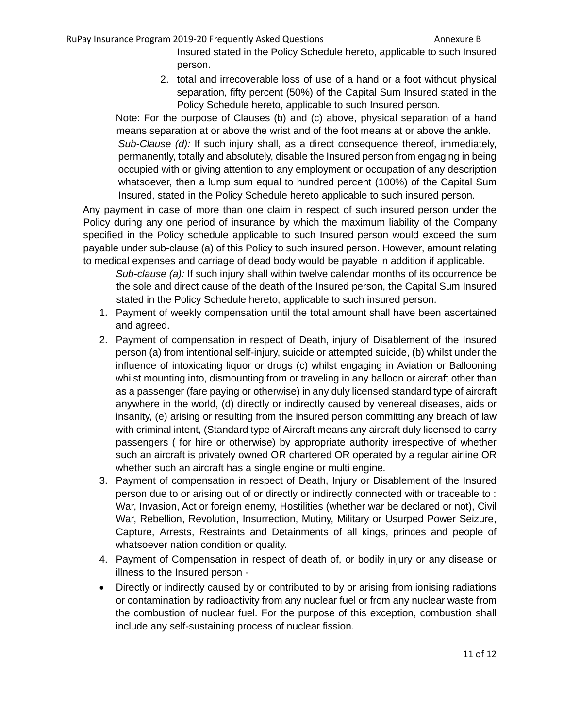Insured stated in the Policy Schedule hereto, applicable to such Insured person.

2. total and irrecoverable loss of use of a hand or a foot without physical separation, fifty percent (50%) of the Capital Sum Insured stated in the Policy Schedule hereto, applicable to such Insured person.

Note: For the purpose of Clauses (b) and (c) above, physical separation of a hand means separation at or above the wrist and of the foot means at or above the ankle. *Sub-Clause (d):* If such injury shall, as a direct consequence thereof, immediately, permanently, totally and absolutely, disable the Insured person from engaging in being occupied with or giving attention to any employment or occupation of any description whatsoever, then a lump sum equal to hundred percent (100%) of the Capital Sum Insured, stated in the Policy Schedule hereto applicable to such insured person.

Any payment in case of more than one claim in respect of such insured person under the Policy during any one period of insurance by which the maximum liability of the Company specified in the Policy schedule applicable to such Insured person would exceed the sum payable under sub-clause (a) of this Policy to such insured person. However, amount relating to medical expenses and carriage of dead body would be payable in addition if applicable.

*Sub-clause (a):* If such injury shall within twelve calendar months of its occurrence be the sole and direct cause of the death of the Insured person, the Capital Sum Insured stated in the Policy Schedule hereto, applicable to such insured person.

- 1. Payment of weekly compensation until the total amount shall have been ascertained and agreed.
- 2. Payment of compensation in respect of Death, injury of Disablement of the Insured person (a) from intentional self-injury, suicide or attempted suicide, (b) whilst under the influence of intoxicating liquor or drugs (c) whilst engaging in Aviation or Ballooning whilst mounting into, dismounting from or traveling in any balloon or aircraft other than as a passenger (fare paying or otherwise) in any duly licensed standard type of aircraft anywhere in the world, (d) directly or indirectly caused by venereal diseases, aids or insanity, (e) arising or resulting from the insured person committing any breach of law with criminal intent, (Standard type of Aircraft means any aircraft duly licensed to carry passengers ( for hire or otherwise) by appropriate authority irrespective of whether such an aircraft is privately owned OR chartered OR operated by a regular airline OR whether such an aircraft has a single engine or multi engine.
- 3. Payment of compensation in respect of Death, Injury or Disablement of the Insured person due to or arising out of or directly or indirectly connected with or traceable to : War, Invasion, Act or foreign enemy, Hostilities (whether war be declared or not), Civil War, Rebellion, Revolution, Insurrection, Mutiny, Military or Usurped Power Seizure, Capture, Arrests, Restraints and Detainments of all kings, princes and people of whatsoever nation condition or quality.
- 4. Payment of Compensation in respect of death of, or bodily injury or any disease or illness to the Insured person -
- Directly or indirectly caused by or contributed to by or arising from ionising radiations or contamination by radioactivity from any nuclear fuel or from any nuclear waste from the combustion of nuclear fuel. For the purpose of this exception, combustion shall include any self-sustaining process of nuclear fission.